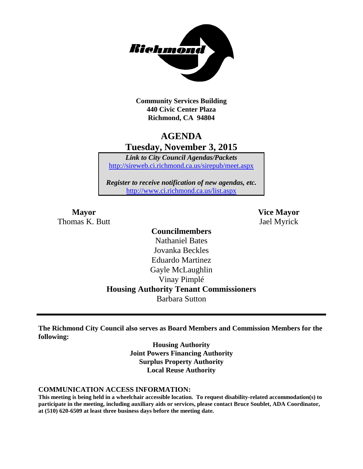

**Community Services Building 440 Civic Center Plaza Richmond, CA 94804**

# **AGENDA Tuesday, November 3, 2015**

*Link to City Council Agendas/Packets* <http://sireweb.ci.richmond.ca.us/sirepub/meet.aspx>

*Register to receive notification of new agendas, etc.* <http://www.ci.richmond.ca.us/list.aspx>

**Mayor Vice Mayor** Thomas K. Butt Jael Myrick

# **Councilmembers**

Nathaniel Bates Jovanka Beckles Eduardo Martinez Gayle McLaughlin Vinay Pimplé **Housing Authority Tenant Commissioners** Barbara Sutton

**The Richmond City Council also serves as Board Members and Commission Members for the following:**

> **Housing Authority Joint Powers Financing Authority Surplus Property Authority Local Reuse Authority**

#### **COMMUNICATION ACCESS INFORMATION:**

**This meeting is being held in a wheelchair accessible location. To request disability-related accommodation(s) to participate in the meeting, including auxiliary aids or services, please contact Bruce Soublet, ADA Coordinator, at (510) 620-6509 at least three business days before the meeting date.**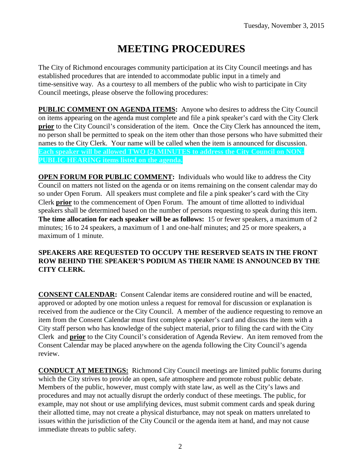# **MEETING PROCEDURES**

The City of Richmond encourages community participation at its City Council meetings and has established procedures that are intended to accommodate public input in a timely and time-sensitive way. As a courtesy to all members of the public who wish to participate in City Council meetings, please observe the following procedures:

**PUBLIC COMMENT ON AGENDA ITEMS:** Anyone who desires to address the City Council on items appearing on the agenda must complete and file a pink speaker's card with the City Clerk **prior** to the City Council's consideration of the item. Once the City Clerk has announced the item, no person shall be permitted to speak on the item other than those persons who have submitted their names to the City Clerk. Your name will be called when the item is announced for discussion. **Each speaker will be allowed TWO (2) MINUTES to address the City Council on NON-PUBLIC HEARING items listed on the agenda.**

**OPEN FORUM FOR PUBLIC COMMENT:** Individuals who would like to address the City Council on matters not listed on the agenda or on items remaining on the consent calendar may do so under Open Forum. All speakers must complete and file a pink speaker's card with the City Clerk **prior** to the commencement of Open Forum. The amount of time allotted to individual speakers shall be determined based on the number of persons requesting to speak during this item. **The time allocation for each speaker will be as follows:** 15 or fewer speakers, a maximum of 2 minutes; 16 to 24 speakers, a maximum of 1 and one-half minutes; and 25 or more speakers, a maximum of 1 minute.

#### **SPEAKERS ARE REQUESTED TO OCCUPY THE RESERVED SEATS IN THE FRONT ROW BEHIND THE SPEAKER'S PODIUM AS THEIR NAME IS ANNOUNCED BY THE CITY CLERK.**

**CONSENT CALENDAR:** Consent Calendar items are considered routine and will be enacted, approved or adopted by one motion unless a request for removal for discussion or explanation is received from the audience or the City Council. A member of the audience requesting to remove an item from the Consent Calendar must first complete a speaker's card and discuss the item with a City staff person who has knowledge of the subject material, prior to filing the card with the City Clerk and **prior** to the City Council's consideration of Agenda Review. An item removed from the Consent Calendar may be placed anywhere on the agenda following the City Council's agenda review.

**CONDUCT AT MEETINGS:** Richmond City Council meetings are limited public forums during which the City strives to provide an open, safe atmosphere and promote robust public debate. Members of the public, however, must comply with state law, as well as the City's laws and procedures and may not actually disrupt the orderly conduct of these meetings. The public, for example, may not shout or use amplifying devices, must submit comment cards and speak during their allotted time, may not create a physical disturbance, may not speak on matters unrelated to issues within the jurisdiction of the City Council or the agenda item at hand, and may not cause immediate threats to public safety.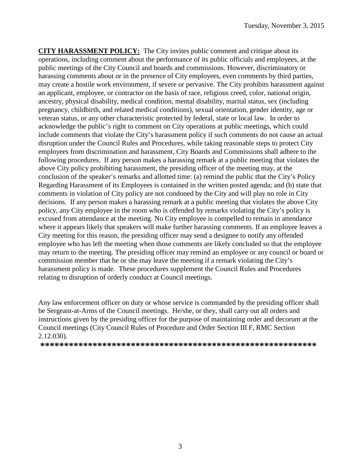**CITY HARASSMENT POLICY:** The City invites public comment and critique about its operations, including comment about the performance of its public officials and employees, at the public meetings of the City Council and boards and commissions. However, discriminatory or harassing comments about or in the presence of City employees, even comments by third parties, may create a hostile work environment, if severe or pervasive. The City prohibits harassment against an applicant, employee, or contractor on the basis of race, religious creed, color, national origin, ancestry, physical disability, medical condition, mental disability, marital status, sex (including pregnancy, childbirth, and related medical conditions), sexual orientation, gender identity, age or veteran status, or any other characteristic protected by federal, state or local law. In order to acknowledge the public's right to comment on City operations at public meetings, which could include comments that violate the City's harassment policy if such comments do not cause an actual disruption under the Council Rules and Procedures, while taking reasonable steps to protect City employees from discrimination and harassment, City Boards and Commissions shall adhere to the following procedures. If any person makes a harassing remark at a public meeting that violates the above City policy prohibiting harassment, the presiding officer of the meeting may, at the conclusion of the speaker's remarks and allotted time: (a) remind the public that the City's Policy Regarding Harassment of its Employees is contained in the written posted agenda; and (b) state that comments in violation of City policy are not condoned by the City and will play no role in City decisions. If any person makes a harassing remark at a public meeting that violates the above City policy, any City employee in the room who is offended by remarks violating the City's policy is excused from attendance at the meeting. No City employee is compelled to remain in attendance where it appears likely that speakers will make further harassing comments. If an employee leaves a City meeting for this reason, the presiding officer may send a designee to notify any offended employee who has left the meeting when those comments are likely concluded so that the employee may return to the meeting. The presiding officer may remind an employee or any council or board or commission member that he or she may leave the meeting if a remark violating the City's harassment policy is made. These procedures supplement the Council Rules and Procedures relating to disruption of orderly conduct at Council meetings.

Any law enforcement officer on duty or whose service is commanded by the presiding officer shall be Sergeant-at-Arms of the Council meetings. He/she, or they, shall carry out all orders and instructions given by the presiding officer for the purpose of maintaining order and decorum at the Council meetings (City Council Rules of Procedure and Order Section III F, RMC Section 2.12.030).

**\*\*\*\*\*\*\*\*\*\*\*\*\*\*\*\*\*\*\*\*\*\*\*\*\*\*\*\*\*\*\*\*\*\*\*\*\*\*\*\*\*\*\*\*\*\*\*\*\*\*\*\*\*\*\*\*\*\***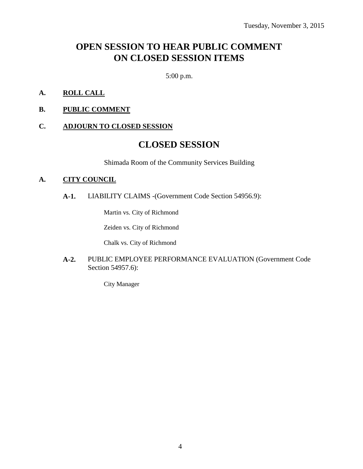# **OPEN SESSION TO HEAR PUBLIC COMMENT ON CLOSED SESSION ITEMS**

5:00 p.m.

- **A. ROLL CALL**
- **B. PUBLIC COMMENT**

#### **C. ADJOURN TO CLOSED SESSION**

## **CLOSED SESSION**

Shimada Room of the Community Services Building

#### **A. CITY COUNCIL**

**A-1.** LIABILITY CLAIMS -(Government Code Section 54956.9):

Martin vs. City of Richmond

Zeiden vs. City of Richmond

Chalk vs. City of Richmond

#### **A-2.** PUBLIC EMPLOYEE PERFORMANCE EVALUATION (Government Code Section 54957.6):

City Manager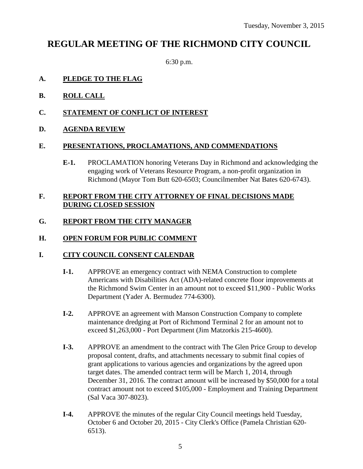# **REGULAR MEETING OF THE RICHMOND CITY COUNCIL**

6:30 p.m.

#### **A. PLEDGE TO THE FLAG**

- **B. ROLL CALL**
- **C. STATEMENT OF CONFLICT OF INTEREST**
- **D. AGENDA REVIEW**

#### **E. PRESENTATIONS, PROCLAMATIONS, AND COMMENDATIONS**

**E-1.** PROCLAMATION honoring Veterans Day in Richmond and acknowledging the engaging work of Veterans Resource Program, a non-profit organization in Richmond (Mayor Tom Butt 620-6503; Councilmember Nat Bates 620-6743).

#### **F. REPORT FROM THE CITY ATTORNEY OF FINAL DECISIONS MADE DURING CLOSED SESSION**

#### **G. REPORT FROM THE CITY MANAGER**

#### **H. OPEN FORUM FOR PUBLIC COMMENT**

#### **I. CITY COUNCIL CONSENT CALENDAR**

- **I-1.** APPROVE an emergency contract with NEMA Construction to complete Americans with Disabilities Act (ADA)-related concrete floor improvements at the Richmond Swim Center in an amount not to exceed \$11,900 - Public Works Department (Yader A. Bermudez 774-6300).
- **I-2.** APPROVE an agreement with Manson Construction Company to complete maintenance dredging at Port of Richmond Terminal 2 for an amount not to exceed \$1,263,000 - Port Department (Jim Matzorkis 215-4600).
- **I-3.** APPROVE an amendment to the contract with The Glen Price Group to develop proposal content, drafts, and attachments necessary to submit final copies of grant applications to various agencies and organizations by the agreed upon target dates. The amended contract term will be March 1, 2014, through December 31, 2016. The contract amount will be increased by \$50,000 for a total contract amount not to exceed \$105,000 - Employment and Training Department (Sal Vaca 307-8023).
- **I-4.** APPROVE the minutes of the regular City Council meetings held Tuesday, October 6 and October 20, 2015 - City Clerk's Office (Pamela Christian 620- 6513).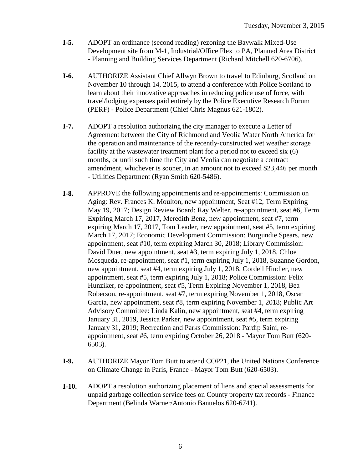- **I-5.** ADOPT an ordinance (second reading) rezoning the Baywalk Mixed-Use Development site from M-1, Industrial/Office Flex to PA, Planned Area District - Planning and Building Services Department (Richard Mitchell 620-6706).
- **I-6.** AUTHORIZE Assistant Chief Allwyn Brown to travel to Edinburg, Scotland on November 10 through 14, 2015, to attend a conference with Police Scotland to learn about their innovative approaches in reducing police use of force, with travel/lodging expenses paid entirely by the Police Executive Research Forum (PERF) - Police Department (Chief Chris Magnus 621-1802).
- **I-7.** ADOPT a resolution authorizing the city manager to execute a Letter of Agreement between the City of Richmond and Veolia Water North America for the operation and maintenance of the recently-constructed wet weather storage facility at the wastewater treatment plant for a period not to exceed six (6) months, or until such time the City and Veolia can negotiate a contract amendment, whichever is sooner, in an amount not to exceed \$23,446 per month - Utilities Department (Ryan Smith 620-5486).
- **I-8.** APPROVE the following appointments and re-appointments: Commission on Aging: Rev. Frances K. Moulton, new appointment, Seat #12, Term Expiring May 19, 2017; Design Review Board: Ray Welter, re-appointment, seat #6, Term Expiring March 17, 2017, Meredith Benz, new appointment, seat #7, term expiring March 17, 2017, Tom Leader, new appointment, seat #5, term expiring March 17, 2017; Economic Development Commission: Burgundie Spears, new appointment, seat #10, term expiring March 30, 2018; Library Commission: David Duer, new appointment, seat #3, term expiring July 1, 2018, Chloe Mosqueda, re-appointment, seat #1, term expiring July 1, 2018, Suzanne Gordon, new appointment, seat #4, term expiring July 1, 2018, Cordell Hindler, new appointment, seat #5, term expiring July 1, 2018; Police Commission: Felix Hunziker, re-appointment, seat #5, Term Expiring November 1, 2018, Bea Roberson, re-appointment, seat #7, term expiring November 1, 2018, Oscar Garcia, new appointment, seat #8, term expiring November 1, 2018; Public Art Advisory Committee: Linda Kalin, new appointment, seat #4, term expiring January 31, 2019, Jessica Parker, new appointment, seat #5, term expiring January 31, 2019; Recreation and Parks Commission: Pardip Saini, reappointment, seat #6, term expiring October 26, 2018 - Mayor Tom Butt (620- 6503).
- **I-9.** AUTHORIZE Mayor Tom Butt to attend COP21, the United Nations Conference on Climate Change in Paris, France - Mayor Tom Butt (620-6503).
- **I-10.** ADOPT a resolution authorizing placement of liens and special assessments for unpaid garbage collection service fees on County property tax records - Finance Department (Belinda Warner/Antonio Banuelos 620-6741).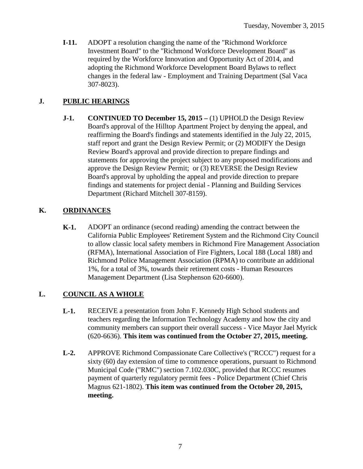**I-11.** ADOPT a resolution changing the name of the "Richmond Workforce Investment Board" to the "Richmond Workforce Development Board" as required by the Workforce Innovation and Opportunity Act of 2014, and adopting the Richmond Workforce Development Board Bylaws to reflect changes in the federal law - Employment and Training Department (Sal Vaca 307-8023).

### **J. PUBLIC HEARINGS**

**J-1. CONTINUED TO December 15, 2015 –** (1) UPHOLD the Design Review Board's approval of the Hilltop Apartment Project by denying the appeal, and reaffirming the Board's findings and statements identified in the July 22, 2015, staff report and grant the Design Review Permit; or (2) MODIFY the Design Review Board's approval and provide direction to prepare findings and statements for approving the project subject to any proposed modifications and approve the Design Review Permit; or (3) REVERSE the Design Review Board's approval by upholding the appeal and provide direction to prepare findings and statements for project denial - Planning and Building Services Department (Richard Mitchell 307-8159).

### **K. ORDINANCES**

**K-1.** ADOPT an ordinance (second reading) amending the contract between the California Public Employees' Retirement System and the Richmond City Council to allow classic local safety members in Richmond Fire Management Association (RFMA), International Association of Fire Fighters, Local 188 (Local 188) and Richmond Police Management Association (RPMA) to contribute an additional 1%, for a total of 3%, towards their retirement costs - Human Resources Management Department (Lisa Stephenson 620-6600).

### **L. COUNCIL AS A WHOLE**

- **L-1.** RECEIVE a presentation from John F. Kennedy High School students and teachers regarding the Information Technology Academy and how the city and community members can support their overall success - Vice Mayor Jael Myrick (620-6636). **This item was continued from the October 27, 2015, meeting.**
- **L-2.** APPROVE Richmond Compassionate Care Collective's ("RCCC") request for a sixty (60) day extension of time to commence operations, pursuant to Richmond Municipal Code ("RMC") section 7.102.030C, provided that RCCC resumes payment of quarterly regulatory permit fees - Police Department (Chief Chris Magnus 621-1802). **This item was continued from the October 20, 2015, meeting.**